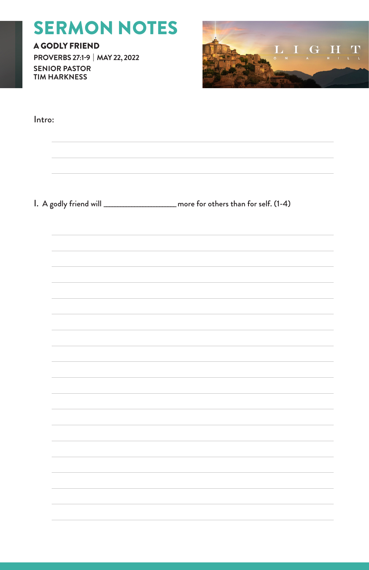# SERMON NOTES

A GODLY FRIEND **PROVERBS 27:1-9 | MAY 22, 2022 SENIOR PASTOR TIM HARKNESS**



| Intro: |  |
|--------|--|
|        |  |
|        |  |
|        |  |
|        |  |
|        |  |
|        |  |
|        |  |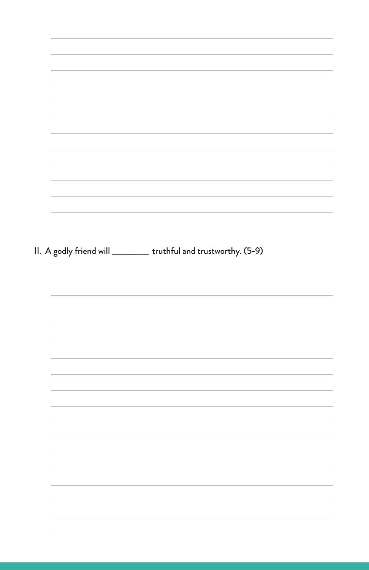| II. A godly friend will __________ truthful and trustworthy. (5-9) |  |  |  |
|--------------------------------------------------------------------|--|--|--|
|                                                                    |  |  |  |
|                                                                    |  |  |  |
|                                                                    |  |  |  |
|                                                                    |  |  |  |
|                                                                    |  |  |  |
|                                                                    |  |  |  |
|                                                                    |  |  |  |
|                                                                    |  |  |  |
|                                                                    |  |  |  |
|                                                                    |  |  |  |
|                                                                    |  |  |  |
|                                                                    |  |  |  |
|                                                                    |  |  |  |
|                                                                    |  |  |  |
|                                                                    |  |  |  |
|                                                                    |  |  |  |
|                                                                    |  |  |  |
|                                                                    |  |  |  |
|                                                                    |  |  |  |
|                                                                    |  |  |  |
|                                                                    |  |  |  |
|                                                                    |  |  |  |
|                                                                    |  |  |  |
|                                                                    |  |  |  |
|                                                                    |  |  |  |
|                                                                    |  |  |  |
|                                                                    |  |  |  |
|                                                                    |  |  |  |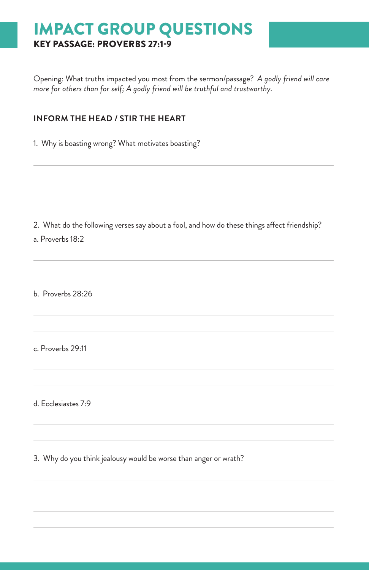# IMPACT GROUP QUESTIONS KEY PASSAGE: PROVERBS 27:1-9

Opening: What truths impacted you most from the sermon/passage? *A godly friend will care more for others than for self; A godly friend will be truthful and trustworthy.*

#### **INFORM THE HEAD / STIR THE HEART**

1. Why is boasting wrong? What motivates boasting?

2. What do the following verses say about a fool, and how do these things affect friendship? a. Proverbs 18:2

b. Proverbs 28:26

c. Proverbs 29:11

d. Ecclesiastes 7:9

3. Why do you think jealousy would be worse than anger or wrath?